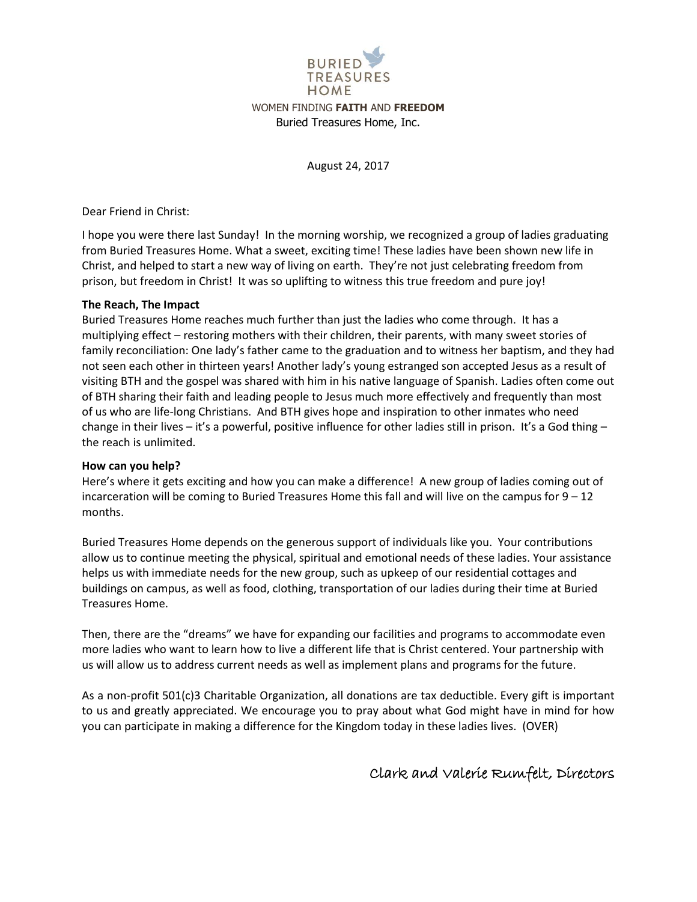

August 24, 2017

Dear Friend in Christ:

I hope you were there last Sunday! In the morning worship, we recognized a group of ladies graduating from Buried Treasures Home. What a sweet, exciting time! These ladies have been shown new life in Christ, and helped to start a new way of living on earth. They're not just celebrating freedom from prison, but freedom in Christ! It was so uplifting to witness this true freedom and pure joy!

## **The Reach, The Impact**

Buried Treasures Home reaches much further than just the ladies who come through. It has a multiplying effect – restoring mothers with their children, their parents, with many sweet stories of family reconciliation: One lady's father came to the graduation and to witness her baptism, and they had not seen each other in thirteen years! Another lady's young estranged son accepted Jesus as a result of visiting BTH and the gospel was shared with him in his native language of Spanish. Ladies often come out of BTH sharing their faith and leading people to Jesus much more effectively and frequently than most of us who are life-long Christians. And BTH gives hope and inspiration to other inmates who need change in their lives – it's a powerful, positive influence for other ladies still in prison. It's a God thing – the reach is unlimited.

## **How can you help?**

Here's where it gets exciting and how you can make a difference! A new group of ladies coming out of incarceration will be coming to Buried Treasures Home this fall and will live on the campus for  $9 - 12$ months.

Buried Treasures Home depends on the generous support of individuals like you. Your contributions allow us to continue meeting the physical, spiritual and emotional needs of these ladies. Your assistance helps us with immediate needs for the new group, such as upkeep of our residential cottages and buildings on campus, as well as food, clothing, transportation of our ladies during their time at Buried Treasures Home.

Then, there are the "dreams" we have for expanding our facilities and programs to accommodate even more ladies who want to learn how to live a different life that is Christ centered. Your partnership with us will allow us to address current needs as well as implement plans and programs for the future.

As a non-profit 501(c)3 Charitable Organization, all donations are tax deductible. Every gift is important to us and greatly appreciated. We encourage you to pray about what God might have in mind for how you can participate in making a difference for the Kingdom today in these ladies lives. (OVER)

## Clark and Valerie Rumfelt, Directors